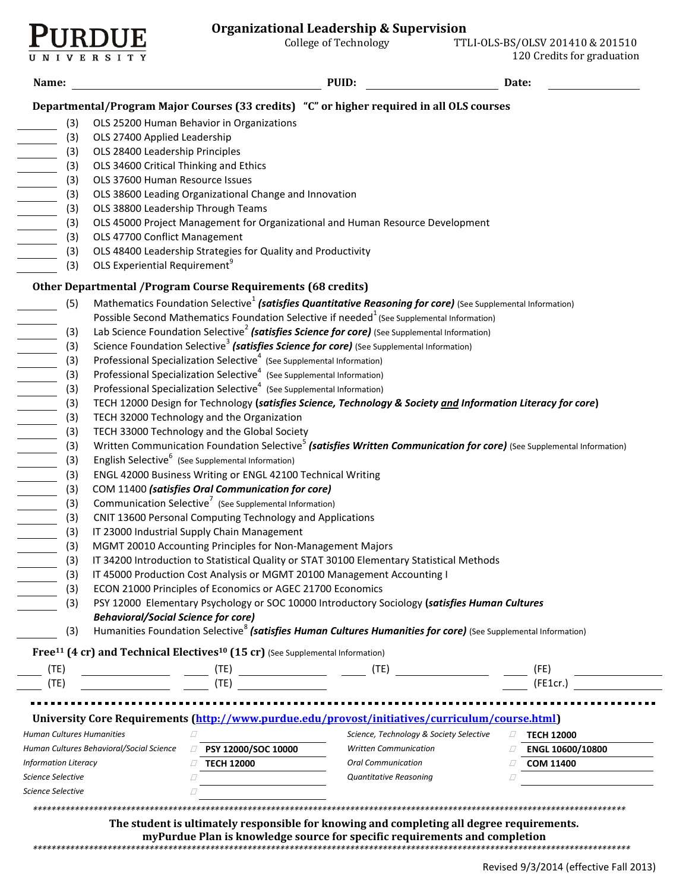

**VERSITY** 

 $\overline{u}$ 

| Name:                                                                                                                                              |                                                                                                                                                                                                    |                                                                                                        | PUID:                                                                                                                                                                   | Date:             |  |  |  |
|----------------------------------------------------------------------------------------------------------------------------------------------------|----------------------------------------------------------------------------------------------------------------------------------------------------------------------------------------------------|--------------------------------------------------------------------------------------------------------|-------------------------------------------------------------------------------------------------------------------------------------------------------------------------|-------------------|--|--|--|
|                                                                                                                                                    |                                                                                                                                                                                                    |                                                                                                        | Departmental/Program Major Courses (33 credits) "C" or higher required in all OLS courses                                                                               |                   |  |  |  |
| (3)                                                                                                                                                |                                                                                                                                                                                                    | OLS 25200 Human Behavior in Organizations                                                              |                                                                                                                                                                         |                   |  |  |  |
| (3)                                                                                                                                                | OLS 27400 Applied Leadership                                                                                                                                                                       |                                                                                                        |                                                                                                                                                                         |                   |  |  |  |
| (3)                                                                                                                                                | OLS 28400 Leadership Principles                                                                                                                                                                    |                                                                                                        |                                                                                                                                                                         |                   |  |  |  |
| (3)                                                                                                                                                | OLS 34600 Critical Thinking and Ethics                                                                                                                                                             |                                                                                                        |                                                                                                                                                                         |                   |  |  |  |
| (3)                                                                                                                                                | OLS 37600 Human Resource Issues                                                                                                                                                                    |                                                                                                        |                                                                                                                                                                         |                   |  |  |  |
| (3)                                                                                                                                                |                                                                                                                                                                                                    | OLS 38600 Leading Organizational Change and Innovation                                                 |                                                                                                                                                                         |                   |  |  |  |
| (3)                                                                                                                                                | OLS 38800 Leadership Through Teams                                                                                                                                                                 |                                                                                                        |                                                                                                                                                                         |                   |  |  |  |
| (3)                                                                                                                                                |                                                                                                                                                                                                    |                                                                                                        | OLS 45000 Project Management for Organizational and Human Resource Development                                                                                          |                   |  |  |  |
| (3)                                                                                                                                                | OLS 47700 Conflict Management                                                                                                                                                                      |                                                                                                        |                                                                                                                                                                         |                   |  |  |  |
| (3)                                                                                                                                                |                                                                                                                                                                                                    | OLS 48400 Leadership Strategies for Quality and Productivity                                           |                                                                                                                                                                         |                   |  |  |  |
| (3)                                                                                                                                                | OLS Experiential Requirement <sup>9</sup>                                                                                                                                                          |                                                                                                        |                                                                                                                                                                         |                   |  |  |  |
|                                                                                                                                                    |                                                                                                                                                                                                    | Other Departmental / Program Course Requirements (68 credits)                                          |                                                                                                                                                                         |                   |  |  |  |
| (5)                                                                                                                                                |                                                                                                                                                                                                    |                                                                                                        | Mathematics Foundation Selective <sup>1</sup> (satisfies Quantitative Reasoning for core) (See Supplemental Information)                                                |                   |  |  |  |
|                                                                                                                                                    |                                                                                                                                                                                                    |                                                                                                        | Possible Second Mathematics Foundation Selective if needed <sup>1</sup> (See Supplemental Information)                                                                  |                   |  |  |  |
| (3)                                                                                                                                                |                                                                                                                                                                                                    |                                                                                                        | Lab Science Foundation Selective <sup>2</sup> (satisfies Science for core) (See Supplemental Information)                                                               |                   |  |  |  |
| (3)                                                                                                                                                |                                                                                                                                                                                                    |                                                                                                        | Science Foundation Selective <sup>3</sup> (satisfies Science for core) (See Supplemental Information)                                                                   |                   |  |  |  |
| (3)                                                                                                                                                |                                                                                                                                                                                                    | Professional Specialization Selective <sup>4</sup> (See Supplemental Information)                      |                                                                                                                                                                         |                   |  |  |  |
| (3)                                                                                                                                                |                                                                                                                                                                                                    | Professional Specialization Selective <sup>4</sup> (See Supplemental Information)                      |                                                                                                                                                                         |                   |  |  |  |
| (3)                                                                                                                                                |                                                                                                                                                                                                    | Professional Specialization Selective <sup>4</sup> (See Supplemental Information)                      |                                                                                                                                                                         |                   |  |  |  |
| $\overline{\phantom{a}}$<br>(3)                                                                                                                    |                                                                                                                                                                                                    |                                                                                                        | TECH 12000 Design for Technology (satisfies Science, Technology & Society and Information Literacy for core)                                                            |                   |  |  |  |
| (3)                                                                                                                                                |                                                                                                                                                                                                    | TECH 32000 Technology and the Organization                                                             |                                                                                                                                                                         |                   |  |  |  |
| (3)                                                                                                                                                |                                                                                                                                                                                                    | TECH 33000 Technology and the Global Society                                                           |                                                                                                                                                                         |                   |  |  |  |
| (3)                                                                                                                                                |                                                                                                                                                                                                    |                                                                                                        |                                                                                                                                                                         |                   |  |  |  |
| (3)                                                                                                                                                | Written Communication Foundation Selective <sup>5</sup> (satisfies Written Communication for core) (See Supplemental Information)<br>English Selective <sup>6</sup> (See Supplemental Information) |                                                                                                        |                                                                                                                                                                         |                   |  |  |  |
| (3)                                                                                                                                                |                                                                                                                                                                                                    | ENGL 42000 Business Writing or ENGL 42100 Technical Writing                                            |                                                                                                                                                                         |                   |  |  |  |
| (3)                                                                                                                                                |                                                                                                                                                                                                    | COM 11400 (satisfies Oral Communication for core)                                                      |                                                                                                                                                                         |                   |  |  |  |
| (3)                                                                                                                                                |                                                                                                                                                                                                    | Communication Selective <sup>7</sup> (See Supplemental Information)                                    |                                                                                                                                                                         |                   |  |  |  |
| (3)<br>$\mathcal{L}^{\text{max}}$                                                                                                                  |                                                                                                                                                                                                    | CNIT 13600 Personal Computing Technology and Applications                                              |                                                                                                                                                                         |                   |  |  |  |
| (3)                                                                                                                                                |                                                                                                                                                                                                    | IT 23000 Industrial Supply Chain Management                                                            |                                                                                                                                                                         |                   |  |  |  |
| (3)                                                                                                                                                |                                                                                                                                                                                                    | MGMT 20010 Accounting Principles for Non-Management Majors                                             |                                                                                                                                                                         |                   |  |  |  |
| (3)                                                                                                                                                |                                                                                                                                                                                                    |                                                                                                        | IT 34200 Introduction to Statistical Quality or STAT 30100 Elementary Statistical Methods                                                                               |                   |  |  |  |
| (3)                                                                                                                                                | IT 45000 Production Cost Analysis or MGMT 20100 Management Accounting I                                                                                                                            |                                                                                                        |                                                                                                                                                                         |                   |  |  |  |
| (3)                                                                                                                                                |                                                                                                                                                                                                    | ECON 21000 Principles of Economics or AGEC 21700 Economics                                             |                                                                                                                                                                         |                   |  |  |  |
| (3)                                                                                                                                                |                                                                                                                                                                                                    |                                                                                                        | PSY 12000 Elementary Psychology or SOC 10000 Introductory Sociology (satisfies Human Cultures                                                                           |                   |  |  |  |
|                                                                                                                                                    | <b>Behavioral/Social Science for core)</b>                                                                                                                                                         |                                                                                                        |                                                                                                                                                                         |                   |  |  |  |
| (3)                                                                                                                                                |                                                                                                                                                                                                    |                                                                                                        | Humanities Foundation Selective <sup>8</sup> (satisfies Human Cultures Humanities for core) (See Supplemental Information)                                              |                   |  |  |  |
|                                                                                                                                                    |                                                                                                                                                                                                    | Free <sup>11</sup> (4 cr) and Technical Electives <sup>10</sup> (15 cr) (See Supplemental Information) |                                                                                                                                                                         |                   |  |  |  |
| (TE)                                                                                                                                               |                                                                                                                                                                                                    |                                                                                                        |                                                                                                                                                                         | (FE)              |  |  |  |
| (TE)                                                                                                                                               |                                                                                                                                                                                                    | $(TE)$ $(TE)$ $(TE)$                                                                                   |                                                                                                                                                                         | (FE1cr.)          |  |  |  |
|                                                                                                                                                    |                                                                                                                                                                                                    |                                                                                                        |                                                                                                                                                                         |                   |  |  |  |
|                                                                                                                                                    |                                                                                                                                                                                                    |                                                                                                        | University Core Requirements (http://www.purdue.edu/provost/initiatives/curriculum/course.html)                                                                         |                   |  |  |  |
| <b>Human Cultures Humanities</b>                                                                                                                   |                                                                                                                                                                                                    | П                                                                                                      | Science, Technology & Society Selective                                                                                                                                 |                   |  |  |  |
|                                                                                                                                                    |                                                                                                                                                                                                    | PSY 12000/SOC 10000<br>O                                                                               | <b>Written Communication</b>                                                                                                                                            | $\Box$ TECH 12000 |  |  |  |
| Human Cultures Behavioral/Social Science<br><b>Information Literacy</b><br><b>TECH 12000</b><br><b>Oral Communication</b><br><b>COM 11400</b><br>Ω |                                                                                                                                                                                                    |                                                                                                        |                                                                                                                                                                         | ENGL 10600/10800  |  |  |  |
|                                                                                                                                                    | Science Selective<br>Quantitative Reasoning<br>Ω                                                                                                                                                   |                                                                                                        |                                                                                                                                                                         |                   |  |  |  |
|                                                                                                                                                    | Science Selective                                                                                                                                                                                  |                                                                                                        |                                                                                                                                                                         |                   |  |  |  |
|                                                                                                                                                    |                                                                                                                                                                                                    |                                                                                                        |                                                                                                                                                                         |                   |  |  |  |
|                                                                                                                                                    |                                                                                                                                                                                                    |                                                                                                        |                                                                                                                                                                         |                   |  |  |  |
|                                                                                                                                                    |                                                                                                                                                                                                    |                                                                                                        | The student is ultimately responsible for knowing and completing all degree requirements.<br>myPurdue Plan is knowledge source for specific requirements and completion |                   |  |  |  |
|                                                                                                                                                    |                                                                                                                                                                                                    |                                                                                                        |                                                                                                                                                                         |                   |  |  |  |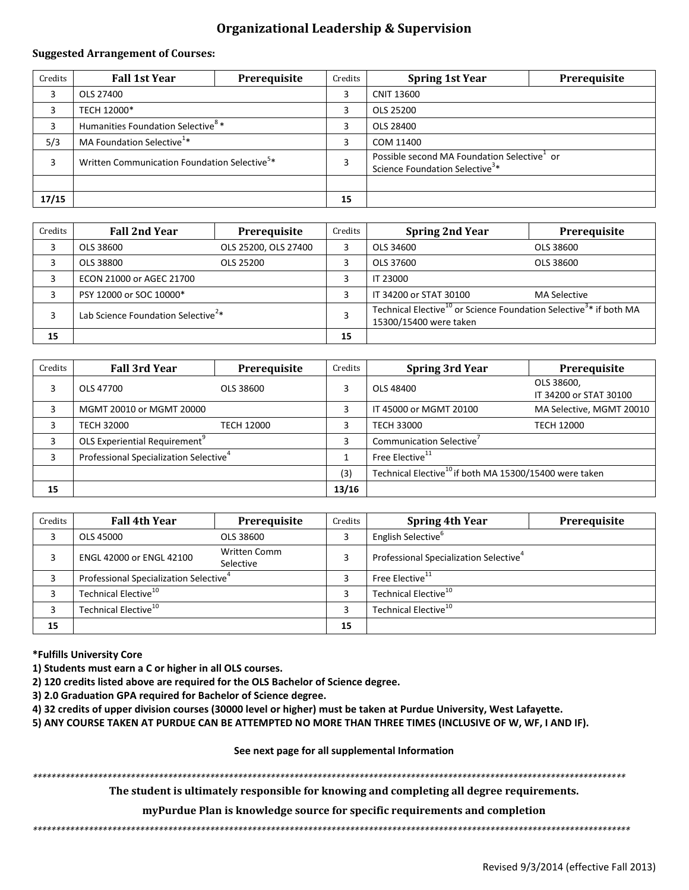# **Organizational Leadership & Supervision**

## **Suggested Arrangement of Courses:**

| Credits | <b>Fall 1st Year</b>                                     | Prerequisite | Credits | <b>Spring 1st Year</b>                                                                   | Prerequisite |
|---------|----------------------------------------------------------|--------------|---------|------------------------------------------------------------------------------------------|--------------|
|         | OLS 27400                                                |              | 3       | <b>CNIT 13600</b>                                                                        |              |
|         | TECH 12000*                                              |              |         | OLS 25200                                                                                |              |
|         | Humanities Foundation Selective <sup>8</sup> *           |              | 3       | OLS 28400                                                                                |              |
| 5/3     | MA Foundation Selective <sup>1*</sup>                    |              | ς       | COM 11400                                                                                |              |
|         | Written Communication Foundation Selective <sup>5*</sup> |              |         | Possible second MA Foundation Selective or<br>Science Foundation Selective <sup>3*</sup> |              |
|         |                                                          |              |         |                                                                                          |              |
| 17/15   |                                                          |              | 15      |                                                                                          |              |

| Credits | <b>Fall 2nd Year</b>                           | Prerequisite         | Credits | <b>Spring 2nd Year</b>                                                                                              | Prerequisite        |
|---------|------------------------------------------------|----------------------|---------|---------------------------------------------------------------------------------------------------------------------|---------------------|
|         | OLS 38600                                      | OLS 25200, OLS 27400 | 3       | OLS 34600                                                                                                           | OLS 38600           |
|         | OLS 38800                                      | OLS 25200            |         | OLS 37600                                                                                                           | OLS 38600           |
|         | ECON 21000 or AGEC 21700                       |                      | 3       | IT 23000                                                                                                            |                     |
|         | PSY 12000 or SOC 10000*                        |                      |         | IT 34200 or STAT 30100                                                                                              | <b>MA Selective</b> |
|         | Lab Science Foundation Selective <sup>2*</sup> |                      | 3       | Technical Elective <sup>10</sup> or Science Foundation Selective <sup>3*</sup> if both MA<br>15300/15400 were taken |                     |
| 15      |                                                |                      | 15      |                                                                                                                     |                     |

| Credits | <b>Fall 3rd Year</b>                               | Prerequisite | Credits | <b>Spring 3rd Year</b>                                             | Prerequisite                         |
|---------|----------------------------------------------------|--------------|---------|--------------------------------------------------------------------|--------------------------------------|
|         | OLS 47700                                          | OLS 38600    | 3       | OLS 48400                                                          | OLS 38600,<br>IT 34200 or STAT 30100 |
|         | MGMT 20010 or MGMT 20000                           |              | 3       | IT 45000 or MGMT 20100                                             | MA Selective, MGMT 20010             |
|         | <b>TECH 32000</b>                                  | TECH 12000   |         | <b>TECH 33000</b>                                                  | <b>TECH 12000</b>                    |
|         | OLS Experiential Requirement <sup>9</sup>          |              | 3       | Communication Selective'                                           |                                      |
|         | Professional Specialization Selective <sup>4</sup> |              |         | Free Elective <sup>11</sup>                                        |                                      |
|         |                                                    |              | (3)     | Technical Elective <sup>10</sup> if both MA 15300/15400 were taken |                                      |
| 15      |                                                    |              | 13/16   |                                                                    |                                      |

| Credits | <b>Fall 4th Year</b>                               | Prerequisite                     | Credits | <b>Spring 4th Year</b>                             | Prerequisite |
|---------|----------------------------------------------------|----------------------------------|---------|----------------------------------------------------|--------------|
| 3       | OLS 45000                                          | OLS 38600                        |         | English Selective <sup>b</sup>                     |              |
|         | ENGL 42000 or ENGL 42100                           | <b>Written Comm</b><br>Selective |         | Professional Specialization Selective <sup>4</sup> |              |
|         | Professional Specialization Selective <sup>4</sup> |                                  |         | Free Elective <sup>11</sup>                        |              |
|         | Technical Elective <sup>10</sup>                   |                                  |         | Technical Elective <sup>10</sup>                   |              |
|         | Technical Elective <sup>10</sup>                   |                                  |         | Technical Elective <sup>10</sup>                   |              |
| 15      |                                                    |                                  | 15      |                                                    |              |

## **\*Fulfills University Core**

- **1) Students must earn a C or higher in all OLS courses.**
- **2) 120 credits listed above are required for the OLS Bachelor of Science degree.**
- **3) 2.0 Graduation GPA required for Bachelor of Science degree.**
- **4) 32 credits of upper division courses (30000 level or higher) must be taken at Purdue University, West Lafayette.**
- **5) ANY COURSE TAKEN AT PURDUE CAN BE ATTEMPTED NO MORE THAN THREE TIMES (INCLUSIVE OF W, WF, I AND IF).**

**See next page for all supplemental Information**

*\*\*\*\*\*\*\*\*\*\*\*\*\*\*\*\*\*\*\*\*\*\*\*\*\*\*\*\*\*\*\*\*\*\*\*\*\*\*\*\*\*\*\*\*\*\*\*\*\*\*\*\*\*\*\*\*\*\*\*\*\*\*\*\*\*\*\*\*\*\*\*\*\*\*\*\*\*\*\*\*\*\*\*\*\*\*\*\*\*\*\*\*\*\*\*\*\*\*\*\*\*\*\*\*\*\*\*\*\*\*\*\*\*\*\*\*\*\*\*\*\*\*\*\*\*\*\**

**The student is ultimately responsible for knowing and completing all degree requirements.** 

**myPurdue Plan is knowledge source for specific requirements and completion**

*\*\*\*\*\*\*\*\*\*\*\*\*\*\*\*\*\*\*\*\*\*\*\*\*\*\*\*\*\*\*\*\*\*\*\*\*\*\*\*\*\*\*\*\*\*\*\*\*\*\*\*\*\*\*\*\*\*\*\*\*\*\*\*\*\*\*\*\*\*\*\*\*\*\*\*\*\*\*\*\*\*\*\*\*\*\*\*\*\*\*\*\*\*\*\*\*\*\*\*\*\*\*\*\*\*\*\*\*\*\*\*\*\*\*\*\*\*\*\*\*\*\*\*\*\*\*\*\**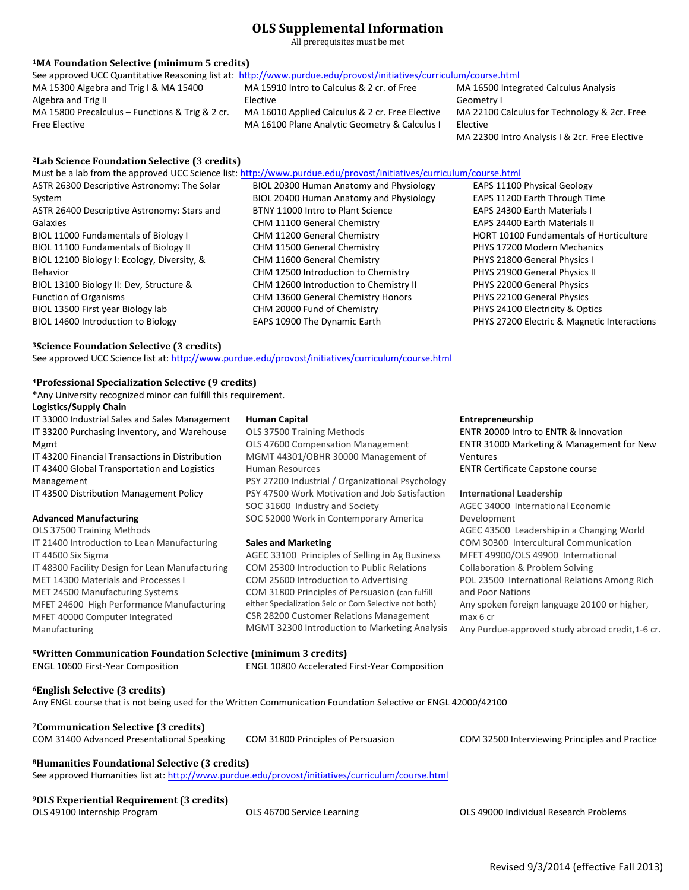# **OLS Supplemental Information**

All prerequisites must be met

## **<sup>1</sup>MA Foundation Selective (minimum 5 credits)**

| <u>rii i ounuación ociócer o riminimum o creuroj</u>      |                                                                                                                    |                                                |
|-----------------------------------------------------------|--------------------------------------------------------------------------------------------------------------------|------------------------------------------------|
|                                                           | See approved UCC Quantitative Reasoning list at: http://www.purdue.edu/provost/initiatives/curriculum/course.html  |                                                |
| MA 15300 Algebra and Trig I & MA 15400                    | MA 15910 Intro to Calculus & 2 cr. of Free                                                                         | MA 16500 Integrated Calculus Analysis          |
| Algebra and Trig II                                       | Elective                                                                                                           | Geometry I                                     |
| MA 15800 Precalculus - Functions & Trig & 2 cr.           | MA 16010 Applied Calculus & 2 cr. Free Elective                                                                    | MA 22100 Calculus for Technology & 2cr. Free   |
| Free Elective                                             | MA 16100 Plane Analytic Geometry & Calculus I                                                                      | Elective                                       |
|                                                           |                                                                                                                    | MA 22300 Intro Analysis I & 2cr. Free Elective |
| <sup>2</sup> Lab Science Foundation Selective (3 credits) |                                                                                                                    |                                                |
|                                                           | Must be a lab from the approved UCC Science list: http://www.purdue.edu/provost/initiatives/curriculum/course.html |                                                |
| ASTR 26300 Descriptive Astronomy: The Solar               | BIOL 20300 Human Anatomy and Physiology                                                                            | <b>EAPS 11100 Physical Geology</b>             |
| System                                                    | BIOL 20400 Human Anatomy and Physiology                                                                            | EAPS 11200 Earth Through Time                  |
|                                                           |                                                                                                                    |                                                |

- ASTR 26400 Descriptive Astronomy: Stars and Galaxies BIOL 11000 Fundamentals of Biology I BIOL 11100 Fundamentals of Biology II BIOL 12100 Biology I: Ecology, Diversity, & Behavior BIOL 13100 Biology II: Dev, Structure & Function of Organisms BIOL 13500 First year Biology lab
- BTNY 11000 Intro to Plant Science CHM 11100 General Chemistry CHM 11200 General Chemistry CHM 11500 General Chemistry CHM 11600 General Chemistry CHM 12500 Introduction to Chemistry CHM 12600 Introduction to Chemistry II CHM 13600 General Chemistry Honors CHM 20000 Fund of Chemistry EAPS 10900 The Dynamic Earth

# EAPS 24300 Earth Materials I EAPS 24400 Earth Materials II HORT 10100 Fundamentals of Horticulture PHYS 17200 Modern Mechanics PHYS 21800 General Physics I PHYS 21900 General Physics II PHYS 22000 General Physics PHYS 22100 General Physics PHYS 24100 Electricity & Optics PHYS 27200 Electric & Magnetic Interactions

### **<sup>3</sup>Science Foundation Selective (3 credits)**

BIOL 14600 Introduction to Biology

See approved UCC Science list at[: http://www.purdue.edu/provost/initiatives/curriculum/course.html](http://www.purdue.edu/provost/initiatives/curriculum/course.html)

### **<sup>4</sup>Professional Specialization Selective (9 credits)**

\*Any University recognized minor can fulfill this requirement.

## **Logistics/Supply Chain**

IT 33000 Industrial Sales and Sales Management IT 33200 Purchasing Inventory, and Warehouse Mgmt

IT 43200 Financial Transactions in Distribution IT 43400 Global Transportation and Logistics Management

IT 43500 Distribution Management Policy

#### **Advanced Manufacturing**

OLS 37500 Training Methods IT 21400 Introduction to Lean Manufacturing IT 44600 Six Sigma IT 48300 Facility Design for Lean Manufacturing MET 14300 Materials and Processes I MET 24500 Manufacturing Systems MFET 24600 High Performance Manufacturing MFET 40000 Computer Integrated Manufacturing

#### **Human Capital**

OLS 37500 Training Methods OLS 47600 Compensation Management MGMT 44301/OBHR 30000 Management of Human Resources PSY 27200 Industrial / Organizational Psychology PSY 47500 Work Motivation and Job Satisfaction SOC 31600 Industry and Society SOC 52000 Work in Contemporary America

#### **Sales and Marketing**

AGEC 33100 Principles of Selling in Ag Business COM 25300 Introduction to Public Relations COM 25600 Introduction to Advertising COM 31800 Principles of Persuasion (can fulfill either Specialization Selc or Com Selective not both) CSR 28200 Customer Relations Management MGMT 32300 Introduction to Marketing Analysis

#### **Entrepreneurship**

ENTR 20000 Intro to ENTR & Innovation ENTR 31000 Marketing & Management for New Ventures ENTR Certificate Capstone course

#### **International Leadership**

AGEC 34000 International Economic Development AGEC 43500 Leadership in a Changing World COM 30300 Intercultural Communication MFET 49900/OLS 49900 International Collaboration & Problem Solving POL 23500 International Relations Among Rich and Poor Nations Any spoken foreign language 20100 or higher, max 6 cr Any Purdue-approved study abroad credit,1-6 cr.

## **<sup>5</sup>Written Communication Foundation Selective (minimum 3 credits)**

ENGL 10600 First-Year Composition ENGL 10800 Accelerated First-Year Composition

#### **<sup>6</sup>English Selective (3 credits)**

Any ENGL course that is not being used for the Written Communication Foundation Selective or ENGL 42000/42100

# **<sup>7</sup>Communication Selective (3 credits)**

COM 31400 Advanced Presentational Speaking COM 31800 Principles of Persuasion COM 32500 Interviewing Principles and Practice

**<sup>8</sup>Humanities Foundational Selective (3 credits)**

See approved Humanities list at[: http://www.purdue.edu/provost/initiatives/curriculum/course.html](http://www.purdue.edu/provost/initiatives/curriculum/course.html)

# **<sup>9</sup>OLS Experiential Requirement (3 credits)**

OLS 49100 Internship Program OLS 46700 Service Learning OLS 49000 Individual Research Problems